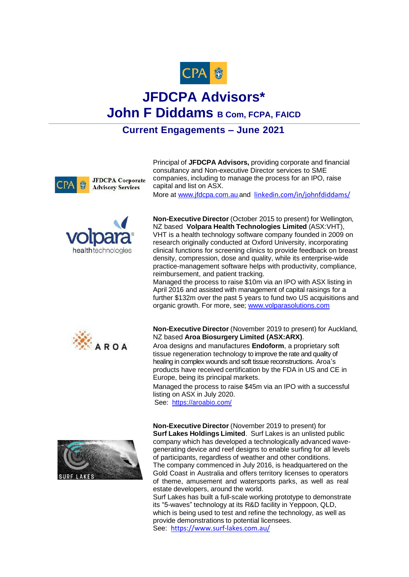

## **JFDCPA Advisors\* John F Diddams B Com, FCPA, FAICD**

## **Current Engagements – June 2021**



Principal of **JFDCPA Advisors,** providing corporate and financial consultancy and Non-executive Director services to SME companies, including to manage the process for an IPO, raise capital and list on ASX.

More at [www.jfdcpa.com.au](http://www.jfdcpa.com.au/) and [linkedin.com/in/johnfdiddams/](https://www.linkedin.com/in/johnfdiddams/)



**Non-Executive Director** (October 2015 to present) for Wellington, NZ based **Volpara Health Technologies Limited** (ASX:VHT), VHT is a health technology software company founded in 2009 on research originally conducted at Oxford University, incorporating clinical functions for screening clinics to provide feedback on breast density, compression, dose and quality, while its enterprise-wide practice-management software helps with productivity, compliance, reimbursement, and patient tracking.

Managed the process to raise \$10m via an IPO with ASX listing in April 2016 and assisted with management of capital raisings for a further \$132m over the past 5 years to fund two US acquisitions and organic growth. For more, see; [www.volparasolutions.com](http://www.volparasolutions.com/)



**Non-Executive Director** (November 2019 to present) for Auckland, NZ based **Aroa Biosurgery Limited (ASX:ARX)**.

Aroa designs and manufactures **Endoform**, a proprietary soft tissue regeneration technology to improve the rate and quality of healing in complex wounds and soft tissue reconstructions. Aroa's products have received certification by the FDA in US and CE in Europe, being its principal markets.

Managed the process to raise \$45m via an IPO with a successful listing on ASX in July 2020.

See: <https://aroabio.com/>

**Non-Executive Director** (November 2019 to present) for **Surf Lakes Holdings Limited**. Surf Lakes is an unlisted public company which has developed a technologically advanced wavegenerating device and reef designs to enable surfing for all levels of participants, regardless of weather and other conditions. The company commenced in July 2016, is headquartered on the Gold Coast in Australia and offers territory licenses to operators of theme, amusement and watersports parks, as well as real estate developers, around the world.

Surf Lakes has built a full-scale working prototype to demonstrate its "5-waves" technology at its R&D facility in Yeppoon, QLD, which is being used to test and refine the technology, as well as provide demonstrations to potential licensees. See: <https://www.surf-lakes.com.au/>

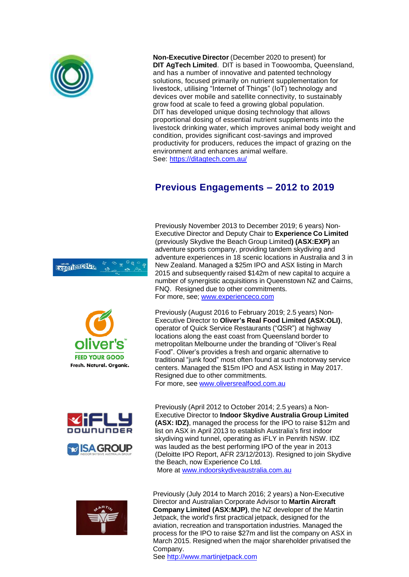

**Non-Executive Director** (December 2020 to present) for **DIT AgTech Limited**. DIT is based in Toowoomba, Queensland, and has a number of innovative and patented technology solutions, focused primarily on nutrient supplementation for livestock, utilising "Internet of Things" (IoT) technology and devices over mobile and satellite connectivity, to sustainably grow food at scale to feed a growing global population. DIT has developed unique dosing technology that allows proportional dosing of essential nutrient supplements into the livestock drinking water, which improves animal body weight and condition, provides significant cost-savings and improved productivity for producers, reduces the impact of grazing on the environment and enhances animal welfare. See:<https://ditagtech.com.au/>

## **Previous Engagements – 2012 to 2019**











Previously November 2013 to December 2019; 6 years) Non-Executive Director and Deputy Chair to **Experience Co Limited**  (previously Skydive the Beach Group Limited**) (ASX:EXP)** an adventure sports company, providing tandem skydiving and adventure experiences in 18 scenic locations in Australia and 3 in New Zealand. Managed a \$25m IPO and ASX listing in March 2015 and subsequently raised \$142m of new capital to acquire a number of synergistic acquisitions in Queenstown NZ and Cairns, FNQ. Resigned due to other commitments. For more, see; [www.experienceco.com](http://www.experienceco.com/)

Previously (August 2016 to February 2019; 2.5 years) Non-Executive Director to **Oliver's Real Food Limited (ASX:OLI)**, operator of Quick Service Restaurants ("QSR") at highway locations along the east coast from Queensland border to metropolitan Melbourne under the branding of "Oliver's Real Food". Oliver's provides a fresh and organic alternative to traditional "junk food" most often found at such motorway service centers. Managed the \$15m IPO and ASX listing in May 2017. Resigned due to other commitments. For more, see [www.oliversrealfood.com.au](http://www.oliversrealfood.com.au/)

Previously (April 2012 to October 2014; 2.5 years) a Non-Executive Director to **Indoor Skydive Australia Group Limited (ASX: IDZ)**, managed the process for the IPO to raise \$12m and list on ASX in April 2013 to establish Australia's first indoor skydiving wind tunnel, operating as iFLY in Penrith NSW. IDZ was lauded as the best performing IPO of the year in 2013 (Deloitte IPO Report, AFR 23/12/2013). Resigned to join Skydive the Beach, now Experience Co Ltd. More at [www.indoorskydiveaustralia.com.au](http://www.indoorskydiveaustralia.com.au/)

Previously (July 2014 to March 2016; 2 years) a Non-Executive Director and Australian Corporate Advisor to **Martin Aircraft Company Limited (ASX:MJP)**, the NZ developer of the Martin Jetpack, the world's first practical jetpack, designed for the aviation, recreation and transportation industries. Managed the process for the IPO to raise \$27m and list the company on ASX in March 2015. Resigned when the major shareholder privatised the Company.

See [http://www.martinjetpack.com](http://www.martinjetpack.com/)